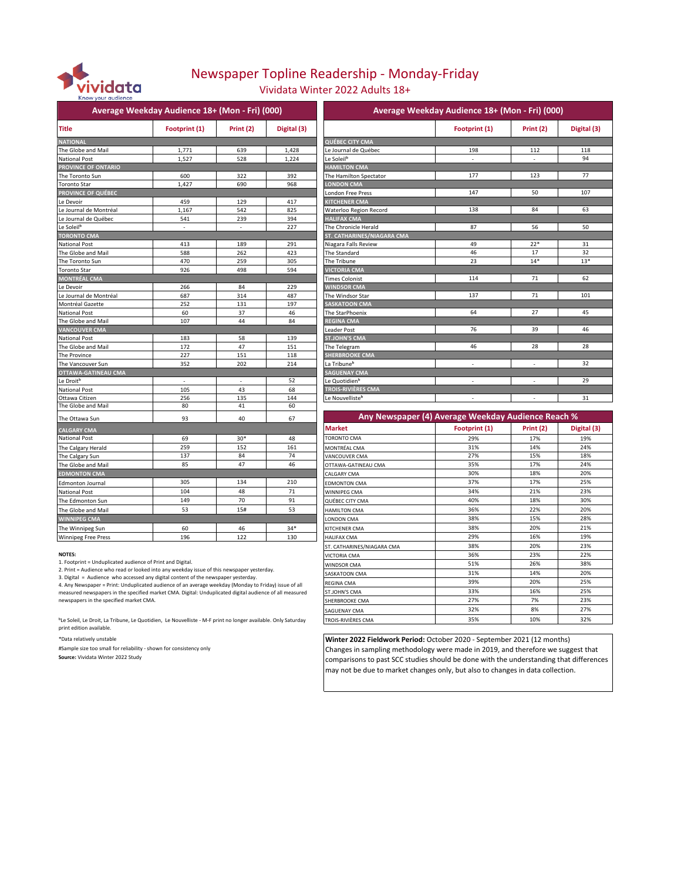

# Newspaper Topline Readership - Monday-Friday

Vividata Winter 2022 Adults 18+

|                            | Average Weekday Audience 18+ (Mon - Fri) (000) |           |             | Average                     |
|----------------------------|------------------------------------------------|-----------|-------------|-----------------------------|
| <b>Title</b>               | Footprint (1)                                  | Print (2) | Digital (3) |                             |
| <b>NATIONAL</b>            |                                                |           |             | <b>QUÉBEC CITY CMA</b>      |
| The Globe and Mail         | 1,771                                          | 639       | 1,428       | Le Journal de Québec        |
| <b>National Post</b>       | 1,527                                          | 528       | 1,224       | Le Soleil <sup>b</sup>      |
| PROVINCE OF ONTARIO        |                                                |           |             | <b>HAMILTON CMA</b>         |
| The Toronto Sun            | 600                                            | 322       | 392         | The Hamilton Spectator      |
| <b>Toronto Star</b>        | 1,427                                          | 690       | 968         | <b>LONDON CMA</b>           |
| <b>PROVINCE OF QUÉBEC</b>  |                                                |           |             | London Free Press           |
| Le Devoir                  | 459                                            | 129       | 417         | <b>KITCHENER CMA</b>        |
| Le Journal de Montréal     | 1,167                                          | 542       | 825         | Waterloo Region Record      |
| Le Journal de Québec       | 541                                            | 239       | 394         | <b>HALIFAX CMA</b>          |
| Le Soleil <sup>b</sup>     |                                                |           | 227         | The Chronicle Herald        |
| <b>TORONTO CMA</b>         |                                                |           |             | ST. CATHARINES/NIAGARA CMA  |
| <b>National Post</b>       | 413                                            | 189       | 291         | Niagara Falls Review        |
| The Globe and Mail         | 588                                            | 262       | 423         | The Standard                |
| The Toronto Sun            | 470                                            | 259       | 305         | The Tribune                 |
| <b>Toronto Star</b>        | 926                                            | 498       | 594         | <b>VICTORIA CMA</b>         |
| <b>MONTRÉAL CMA</b>        |                                                |           |             | <b>Times Colonist</b>       |
| Le Devoir                  | 266                                            | 84        | 229         | <b>WINDSOR CMA</b>          |
| Le Journal de Montréal     | 687                                            | 314       | 487         | The Windsor Star            |
| Montréal Gazette           | 252                                            | 131       | 197         | <b>SASKATOON CMA</b>        |
| <b>National Post</b>       | 60                                             | 37        | 46          | The StarPhoenix             |
| The Globe and Mail         | 107                                            | 44        | 84          | <b>REGINA CMA</b>           |
| <b>VANCOUVER CMA</b>       |                                                |           |             | <b>Leader Post</b>          |
| <b>National Post</b>       | 183                                            | 58        | 139         | <b>ST.JOHN'S CMA</b>        |
| The Globe and Mail         | 172                                            | 47        | 151         | The Telegram                |
| The Province               | 227                                            | 151       | 118         | <b>SHERBROOKE CMA</b>       |
| The Vancouver Sun          | 352                                            | 202       | 214         | La Tribune <sup>b</sup>     |
| OTTAWA-GATINEAU CMA        |                                                |           |             | <b>SAGUENAY CMA</b>         |
| Le Droit <sup>b</sup>      |                                                |           | 52          | Le Quotidien <sup>b</sup>   |
| <b>National Post</b>       | 105                                            | 43        | 68          | TROIS-RIVIÈRES CMA          |
| Ottawa Citizen             | 256                                            | 135       | 144         | Le Nouvelliste <sup>b</sup> |
| The Globe and Mail         | 80                                             | 41        | 60          |                             |
| The Ottawa Sun             | 93                                             | 40        | 67          | <b>Any Newspap</b>          |
| <b>CALGARY CMA</b>         |                                                |           |             | <b>Market</b>               |
| <b>National Post</b>       | 69                                             | $30*$     | 48          | <b>TORONTO CMA</b>          |
| The Calgary Herald         | 259                                            | 152       | 161         | MONTRÉAL CMA                |
| The Calgary Sun            | 137                                            | 84        | 74          | VANCOUVER CMA               |
| The Globe and Mail         | 85                                             | 47        | 46          | OTTAWA-GATINEAU CMA         |
| <b>EDMONTON CMA</b>        |                                                |           |             | <b>CALGARY CMA</b>          |
| <b>Edmonton Journal</b>    | 305                                            | 134       | 210         | <b>EDMONTON CMA</b>         |
| <b>National Post</b>       | 104                                            | 48        | 71          | WINNIPEG CMA                |
|                            | 149                                            | 70        | 91          |                             |
| The Edmonton Sun           | 53                                             | 15#       | 53          | QUÉBEC CITY CMA             |
| The Globe and Mail         |                                                |           |             | <b>HAMILTON CMA</b>         |
| <b>WINNIPEG CMA</b>        |                                                |           |             | LONDON CMA                  |
| The Winnipeg Sun           | 60                                             | 46        | $34*$       | KITCHENER CMA               |
| <b>Winningg Free Pracc</b> | 196                                            | 122       | 130         | HALIFAY CMA                 |

|                            | Average Weekday Audience 18+ (Mon - Fri) (000) |                 |             |                               | Average Weekday Audience 18+ (Mon - Fri) (000) |           |             |
|----------------------------|------------------------------------------------|-----------------|-------------|-------------------------------|------------------------------------------------|-----------|-------------|
| <b>Title</b>               | Footprint (1)                                  | Print (2)       | Digital (3) |                               | Footprint (1)                                  | Print (2) | Digital (3) |
| <b>NATIONAL</b>            |                                                |                 |             | <b>QUÉBEC CITY CMA</b>        |                                                |           |             |
| The Globe and Mail         | 1,771                                          | 639             | 1,428       | Le Journal de Québec          | 198                                            | 112       | 118         |
| <b>National Post</b>       | 1,527                                          | 528             | 1,224       | Le Soleil <sup>b</sup>        |                                                |           | 94          |
| PROVINCE OF ONTARIO        |                                                |                 |             | <b>HAMILTON CMA</b>           |                                                |           |             |
| The Toronto Sun            | 600                                            | 322             | 392         | The Hamilton Spectator        | 177                                            | 123       | 77          |
| <b>Toronto Star</b>        | 1,427                                          | 690             | 968         | <b>LONDON CMA</b>             |                                                |           |             |
| <b>PROVINCE OF QUÉBEC</b>  |                                                |                 |             | <b>London Free Press</b>      | 147                                            | 50        | 107         |
| Le Devoir                  | 459                                            | 129             | 417         | <b>KITCHENER CMA</b>          |                                                |           |             |
| Le Journal de Montréal     | 1.167                                          | 542             | 825         | <b>Waterloo Region Record</b> | 138                                            | 84        | 63          |
| Le Journal de Québec       | 541                                            | 239             | 394         | <b>HALIFAX CMA</b>            |                                                |           |             |
| Le Soleil <sup>b</sup>     |                                                |                 | 227         | The Chronicle Herald          | 87                                             | 56        | 50          |
| <b>TORONTO CMA</b>         |                                                |                 |             | ST. CATHARINES/NIAGARA CMA    |                                                |           |             |
| <b>National Post</b>       | 413                                            | 189             | 291         | Niagara Falls Review          | 49                                             | $22*$     | 31          |
| The Globe and Mail         | 588                                            | 262             | 423         | The Standard                  | 46                                             | 17        | 32          |
| The Toronto Sun            | 470                                            | 259             | 305         | The Tribune                   | 23                                             | $14*$     | $13*$       |
| <b>Toronto Star</b>        | 926                                            | 498             | 594         | <b>VICTORIA CMA</b>           |                                                |           |             |
| <b>MONTRÉAL CMA</b>        |                                                |                 |             | <b>Times Colonist</b>         | 114                                            | 71        | 62          |
| Le Devoir                  | 266                                            | 84              | 229         | <b>WINDSOR CMA</b>            |                                                |           |             |
| Le Journal de Montréal     | 687                                            | 314             | 487         | The Windsor Star              | 137                                            | 71        | 101         |
| Montréal Gazette           | 252                                            | 131             | 197         | <b>SASKATOON CMA</b>          |                                                |           |             |
| National Post              | 60                                             | 37              | 46          | The StarPhoenix               | 64                                             | 27        | 45          |
| The Globe and Mail         | 107                                            | 44              | 84          | <b>REGINA CMA</b>             |                                                |           |             |
| <b>VANCOUVER CMA</b>       |                                                |                 |             | Leader Post                   | 76                                             | 39        | 46          |
| National Post              | 183                                            | 58              | 139         | <b>ST.JOHN'S CMA</b>          |                                                |           |             |
| The Globe and Mail         | 172                                            | 47              | 151         | The Telegram                  | 46                                             | 28        | 28          |
| The Province               | 227                                            | 151             | 118         | <b>SHERBROOKE CMA</b>         |                                                |           |             |
| The Vancouver Sun          | 352                                            | 202             | 214         | La Tribune <sup>b</sup>       |                                                | ÷         | 32          |
| <b>OTTAWA-GATINEAU CMA</b> |                                                |                 |             | <b>SAGUENAY CMA</b>           |                                                |           |             |
| Le Droit <sup>b</sup>      | $\sim$                                         | $\overline{a}$  | 52          | Le Quotidien <sup>b</sup>     |                                                |           | 29          |
| National Post              | 105                                            | 43              | 68          | <b>TROIS-RIVIÈRES CMA</b>     |                                                |           |             |
| Ottawa Citizen             | 256                                            | 135             | 144         | Le Nouvelliste <sup>b</sup>   |                                                |           | 31          |
| The Clobe and Mail.        | $\Omega$                                       | $\overline{44}$ |             |                               |                                                |           |             |

| The Ottawa Sun                                                                                                                                                                   | 93  | 40    | 67    |                            | Any Newspaper (4) Average Weekday Audience Reach % |             |             |  |  |
|----------------------------------------------------------------------------------------------------------------------------------------------------------------------------------|-----|-------|-------|----------------------------|----------------------------------------------------|-------------|-------------|--|--|
| <b>CALGARY CMA</b>                                                                                                                                                               |     |       |       | <b>Market</b>              | Footprint (1)                                      | Print $(2)$ | Digital (3) |  |  |
| National Post                                                                                                                                                                    | 69  | $30*$ | 48    | TORONTO CMA                | 29%                                                | 17%         | 19%         |  |  |
| The Calgary Herald                                                                                                                                                               | 259 | 152   | 161   | MONTRÉAL CMA               | 31%                                                | 14%         | 24%         |  |  |
| The Calgary Sun                                                                                                                                                                  | 137 | 84    | 74    | VANCOUVER CMA              | 27%                                                | 15%         | 18%         |  |  |
| The Globe and Mail                                                                                                                                                               | 85  | 47    | 46    | OTTAWA-GATINEAU CMA        | 35%                                                | 17%         | 24%         |  |  |
| <b>EDMONTON CMA</b>                                                                                                                                                              |     |       |       | CALGARY CMA                | 30%                                                | 18%         | 20%         |  |  |
| <b>Edmonton Journal</b>                                                                                                                                                          | 305 | 134   | 210   | <b>EDMONTON CMA</b>        | 37%                                                | 17%         | 25%         |  |  |
| National Post                                                                                                                                                                    | 104 | 48    | 71    | WINNIPEG CMA               | 34%                                                | 21%         | 23%         |  |  |
| The Edmonton Sun                                                                                                                                                                 | 149 | 70    | 91    | QUÉBEC CITY CMA            | 40%                                                | 18%         | 30%         |  |  |
| The Globe and Mail                                                                                                                                                               | 53  | 15#   | 53    | <b>HAMILTON CMA</b>        | 36%                                                | 22%         | 20%         |  |  |
| <b>WINNIPEG CMA</b>                                                                                                                                                              |     |       |       | <b>LONDON CMA</b>          | 38%                                                | 15%         | 28%         |  |  |
| The Winnipeg Sun                                                                                                                                                                 | 60  | 46    | $34*$ | <b>KITCHENER CMA</b>       | 38%                                                | 20%         | 21%         |  |  |
| <b>Winnipeg Free Press</b>                                                                                                                                                       | 196 | 122   | 130   | HAI IFAX CMA               | 29%                                                | 16%         | 19%         |  |  |
|                                                                                                                                                                                  |     |       |       | ST. CATHARINES/NIAGARA CMA | 38%                                                | 20%         | 23%         |  |  |
| <b>NOTES:</b>                                                                                                                                                                    |     |       |       | VICTORIA CMA               | 36%                                                | 23%         | 22%         |  |  |
| 1. Footprint = Unduplicated audience of Print and Digital.                                                                                                                       |     |       |       | <b>WINDSOR CMA</b>         | 51%                                                | 26%         | 38%         |  |  |
| 2. Print = Audience who read or looked into any weekday issue of this newspaper yesterday.<br>3. Digital = Audience who accessed any digital content of the newspaper yesterday. |     |       |       | SASKATOON CMA              | 31%                                                | 14%         | 20%         |  |  |
| 4. Any Newspaper = Print: Unduplicated audience of an average weekday (Monday to Friday) issue of all                                                                            |     |       |       | <b>REGINA CMA</b>          | 39%                                                | 20%         | 25%         |  |  |
| measured newspapers in the specified market CMA. Digital: Unduplicated digital audience of all measured                                                                          |     |       |       | ST.JOHN'S CMA              | 33%                                                | 16%         | 25%         |  |  |
| newspapers in the specified market CMA.                                                                                                                                          |     |       |       | SHERBROOKE CMA             | 27%                                                | 7%          | 23%         |  |  |
|                                                                                                                                                                                  |     |       |       | <b>SAGUENAY CMA</b>        | 32%                                                | 8%          | 27%         |  |  |
| <sup>b</sup> Le Soleil, Le Droit, La Tribune, Le Quotidien, Le Nouvelliste - M-F print no longer available. Only Saturday                                                        |     |       |       | <b>TROIS-RIVIÈRES CMA</b>  | 35%                                                | 10%         | 32%         |  |  |

**Winter 2022 Fieldwork Period:** October 2020 - September 2021 (12 months) Changes in sampling methodology were made in 2019, and therefore we suggest that comparisons to past SCC studies should be done with the understanding that differences may not be due to market changes only, but also to changes in data collection.

**NOTES:** 

ᵇLe Soleil, Le Droit, La Tribune, Le Quotidien, Le Nouvelliste - M-F print no longer available. Only Saturday print edition available.

\*Data relatively unstable

#Sample size too small for reliability - shown for consistency only **Source:** Vividata Winter 2022 Study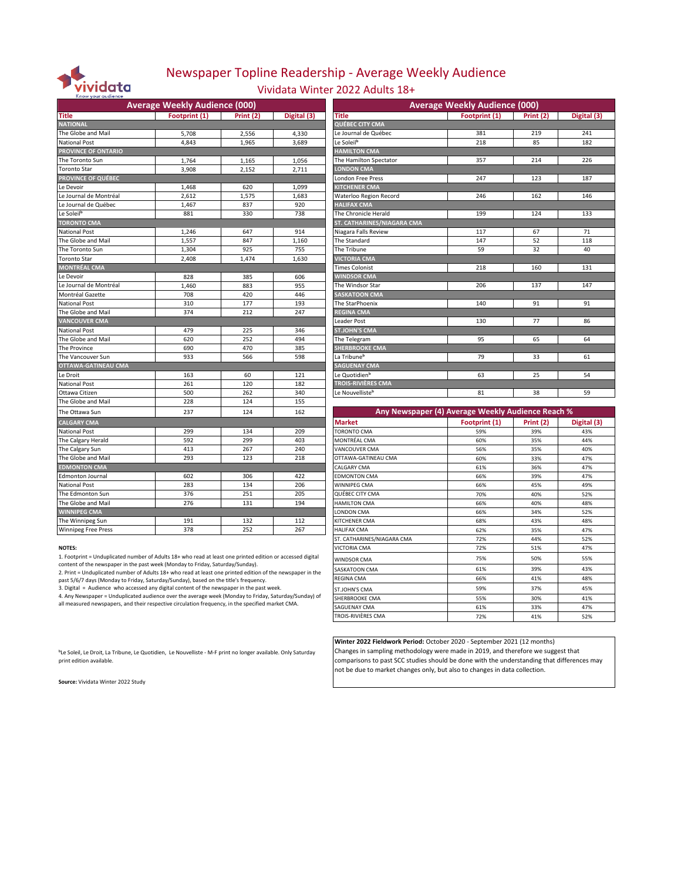

### Newspaper Topline Readership - Average Weekly Audience

Vividata Winter 2022 Adults 18+

|                            | <b>Average Weekly Audience (000)</b> |            |             | <b>Average Weekly Audience (000)</b> |                                                   |                  |             |  |
|----------------------------|--------------------------------------|------------|-------------|--------------------------------------|---------------------------------------------------|------------------|-------------|--|
| <b>Title</b>               | Footprint (1)                        | Print (2)  | Digital (3) | Title                                | Footprint (1)                                     | Print (2)        | Digital (3) |  |
| <b>NATIONAL</b>            |                                      |            |             | QUÉBEC CITY CMA                      |                                                   |                  |             |  |
| The Globe and Mail         | 5,708                                | 2,556      | 4,330       | Le Journal de Québec                 | 381                                               | 219              | 241         |  |
| <b>National Post</b>       | 4,843                                | 1,965      | 3,689       | Le Soleil <sup>b</sup>               | 218                                               | 85               | 182         |  |
| <b>PROVINCE OF ONTARIO</b> |                                      |            |             | <b>HAMILTON CMA</b>                  |                                                   |                  |             |  |
| The Toronto Sun            | 1,764                                | 1,165      | 1,056       | The Hamilton Spectator               | 357                                               | 214              | 226         |  |
| <b>Toronto Star</b>        | 3.908                                | 2.152      | 2.711       | <b>LONDON CMA</b>                    |                                                   |                  |             |  |
| <b>PROVINCE OF QUÉBEC</b>  |                                      |            |             | <b>London Free Press</b>             | 247                                               | 123              | 187         |  |
| Le Devoir                  | 1,468                                | 620        | 1,099       | KITCHENER CMA                        |                                                   |                  |             |  |
| Le Journal de Montréal     | 2.612                                | 1,575      | 1,683       | Waterloo Region Record               | 246                                               | 162              | 146         |  |
| Le Journal de Québec       | 1,467                                | 837        | 920         | <b>HALIFAX CMA</b>                   |                                                   |                  |             |  |
| Le Soleil <sup>b</sup>     | 881                                  | 330        | 738         | The Chronicle Herald                 | 199                                               | 124              | 133         |  |
| <b>TORONTO CMA</b>         |                                      |            |             | ST. CATHARINES/NIAGARA CMA           |                                                   |                  |             |  |
| <b>National Post</b>       | 1,246                                | 647        | 914         | Niagara Falls Review                 | 117                                               | 67               | 71          |  |
| The Globe and Mail         | 1,557                                | 847        | 1,160       | The Standard                         | 147                                               | 52               | 118         |  |
| The Toronto Sun            | 1,304                                | 925        | 755         | The Tribune                          | 59                                                | 32               | 40          |  |
| <b>Toronto Star</b>        | 2.408                                | 1.474      | 1.630       | <b>VICTORIA CMA</b>                  |                                                   |                  |             |  |
| <b>MONTRÉAL CMA</b>        |                                      |            |             | <b>Times Colonist</b>                | 218                                               | 160              | 131         |  |
| Le Devoir                  | 828                                  | 385        | 606         | <b>WINDSOR CMA</b>                   |                                                   |                  |             |  |
| Le Journal de Montréal     | 1,460                                | 883        | 955         | The Windsor Star                     | 206                                               | 137              | 147         |  |
| Montréal Gazette           | 708                                  | 420        | 446         | <b>SASKATOON CMA</b>                 |                                                   |                  |             |  |
| <b>National Post</b>       | 310                                  | 177        | 193         | The StarPhoenix                      | 140                                               | 91               | 91          |  |
| The Globe and Mail         | 374                                  | 212        | 247         | <b>REGINA CMA</b>                    |                                                   |                  |             |  |
| <b>VANCOUVER CMA</b>       |                                      |            |             | Leader Post                          | 130                                               | 77               | 86          |  |
| <b>National Post</b>       | 479                                  | 225        | 346         | <b>ST.JOHN'S CMA</b>                 |                                                   |                  |             |  |
| The Globe and Mail         | 620                                  | 252        | 494         | The Telegram                         | 95                                                | 65               | 64          |  |
| The Province               | 690                                  | 470        | 385         | SHERBROOKE CMA                       |                                                   |                  |             |  |
| The Vancouver Sun          | 933                                  | 566        | 598         | La Tribune <sup>b</sup>              | 79                                                | 33               | 61          |  |
| <b>OTTAWA-GATINEAU CMA</b> |                                      |            |             | <b>SAGUENAY CMA</b>                  |                                                   |                  |             |  |
| Le Droit                   | 163                                  | 60         | 121         | Le Quotidien <sup>b</sup>            | 63                                                | 25               | 54          |  |
| <b>National Post</b>       | 261                                  | 120        | 182         | TROIS-RIVIÈRES CMA                   |                                                   |                  |             |  |
| Ottawa Citizen             | 500                                  | 262        | 340         | Le Nouvelliste <sup>b</sup>          | 81                                                | 38               | 59          |  |
| The Globe and Mail         | 228                                  | 124        | 155         |                                      |                                                   |                  |             |  |
| The Ottawa Sun             | 237                                  | 124        | 162         |                                      | Any Newspaper (4) Average Weekly Audience Reach % |                  |             |  |
| <b>CALGARY CMA</b>         |                                      |            |             | <b>Market</b>                        | Footprint (1)                                     |                  | Digital (3) |  |
| <b>National Post</b>       | 299                                  | 134        | 209         | TORONTO CMA                          | 59%                                               | Print (2)<br>39% |             |  |
|                            | 592                                  | 299        | 403         |                                      | 60%                                               |                  | 43%         |  |
| The Calgary Herald         |                                      |            |             | MONTRÉAL CMA                         |                                                   | 35%              | 44%         |  |
| The Calgary Sun            | 413<br>293                           | 267<br>123 | 240<br>218  | VANCOUVER CMA                        | 56%                                               | 35%              | 40%         |  |
| The Globe and Mail         |                                      |            |             | OTTAWA-GATINEAU CMA                  | 60%                                               | 33%              | 47%         |  |
| <b>EDMONTON CMA</b>        |                                      |            |             | CALGARY CMA                          | 61%                                               | 36%              | 47%         |  |
| <b>Edmonton Journal</b>    | 602                                  | 306        | 422         | <b>EDMONTON CMA</b>                  | 66%                                               | 39%              | 47%         |  |
| <b>National Post</b>       | 283                                  | 134        | 206         | WINNIPEG CMA                         | 66%                                               | 45%              | 49%         |  |
| The Edmonton Sun           | 376                                  | 251        | 205         | QUÉBEC CITY CMA                      | 70%                                               | 40%              | 52%         |  |
| The Globe and Mail         | 276                                  | 131        | 194         | <b>HAMILTON CMA</b>                  | 66%                                               | 40%              | 48%         |  |
| <b>WINNIPEG CMA</b>        |                                      |            |             | LONDON CMA                           | 66%                                               | 34%              | 52%         |  |
| The Winnipeg Sun           | 191                                  | 132        | 112         | KITCHENER CMA                        | 68%                                               | 43%              | 48%         |  |
| <b>Winnipeg Free Press</b> | 378                                  | 252        | 267         | <b>HALIFAX CMA</b>                   | 62%                                               | 35%              | 47%         |  |

| <b>Average Weekly Audience (000)</b> |               |           |             | <b>Average Weekly Audience (000)</b> |               |           |             |  |
|--------------------------------------|---------------|-----------|-------------|--------------------------------------|---------------|-----------|-------------|--|
| Title                                | Footprint (1) | Print (2) | Digital (3) | <b>Title</b>                         | Footprint (1) | Print (2) | Digital (3) |  |
| <b>NATIONAL</b>                      |               |           |             | QUÉBEC CITY CMA                      |               |           |             |  |
| The Globe and Mail                   | 5,708         | 2,556     | 4,330       | Le Journal de Québec                 | 381           | 219       | 241         |  |
| <b>National Post</b>                 | 4,843         | 1,965     | 3,689       | Le Soleil <sup>b</sup>               | 218           | 85        | 182         |  |
| <b>PROVINCE OF ONTARIO</b>           |               |           |             | <b>HAMILTON CMA</b>                  |               |           |             |  |
| The Toronto Sun                      | 1,764         | 1,165     | 1,056       | The Hamilton Spectator               | 357           | 214       | 226         |  |
| Toronto Star                         | 3,908         | 2,152     | 2,711       | <b>LONDON CMA</b>                    |               |           |             |  |
| <b>PROVINCE OF QUÉBEC</b>            |               |           |             | London Free Press                    | 247           | 123       | 187         |  |
| Le Devoir                            | 1,468         | 620       | 1,099       | <b>KITCHENER CMA</b>                 |               |           |             |  |
| Le Journal de Montréal               | 2,612         | 1,575     | 1,683       | Waterloo Region Record               | 246           | 162       | 146         |  |
| Le Journal de Québec                 | 1,467         | 837       | 920         | <b>HALIFAX CMA</b>                   |               |           |             |  |
| Le Soleil <sup>b</sup>               | 881           | 330       | 738         | The Chronicle Herald                 | 199           | 124       | 133         |  |
| <b>TORONTO CMA</b>                   |               |           |             | <b>ST. CATHARINES/NIAGARA CMA</b>    |               |           |             |  |
| <b>National Post</b>                 | 1,246         | 647       | 914         | Niagara Falls Review                 | 117           | 67        | 71          |  |
| The Globe and Mail                   | 1,557         | 847       | 1,160       | The Standard                         | 147           | 52        | 118         |  |
| The Toronto Sun                      | 1,304         | 925       | 755         | The Tribune                          | 59            | 32        | 40          |  |
| Toronto Star                         | 2.408         | 1,474     | 1.630       | <b>VICTORIA CMA</b>                  |               |           |             |  |
| <b>MONTRÉAL CMA</b>                  |               |           |             | <b>Times Colonist</b>                | 218           | 160       | 131         |  |
| Le Devoir                            | 828           | 385       | 606         | <b>WINDSOR CMA</b>                   |               |           |             |  |
| Le Journal de Montréal               | 1,460         | 883       | 955         | The Windsor Star                     | 206           | 137       | 147         |  |
| Montréal Gazette                     | 708           | 420       | 446         | <b>SASKATOON CMA</b>                 |               |           |             |  |
| <b>National Post</b>                 | 310           | 177       | 193         | The StarPhoenix                      | 140           | 91        | 91          |  |
| The Globe and Mail                   | 374           | 212       | 247         | <b>REGINA CMA</b>                    |               |           |             |  |
| <b>VANCOUVER CMA</b>                 |               |           |             | Leader Post                          | 130           | 77        | 86          |  |
| <b>National Post</b>                 | 479           | 225       | 346         | <b>ST.JOHN'S CMA</b>                 |               |           |             |  |
| The Globe and Mail                   | 620           | 252       | 494         | The Telegram                         | 95            | 65        | 64          |  |
| The Province                         | 690           | 470       | 385         | <b>SHERBROOKE CMA</b>                |               |           |             |  |
| The Vancouver Sun                    | 933           | 566       | 598         | La Tribune <sup>b</sup>              | 79            | 33        | 61          |  |
| <b>OTTAWA-GATINEAU CMA</b>           |               |           |             | <b>SAGUENAY CMA</b>                  |               |           |             |  |
| Le Droit                             | 163           | 60        | 121         | Le Quotidien <sup>b</sup>            | 63            | 25        | 54          |  |
| <b>National Post</b>                 | 261           | 120       | 182         | <b>TROIS-RIVIÈRES CMA</b>            |               |           |             |  |
| Ottawa Citizen                       | 500           | 262       | 340         | Le Nouvelliste <sup>b</sup>          | 81            | 38        | 59          |  |
| $\overline{\phantom{a}}$             |               |           |             |                                      |               |           |             |  |

| The Ottawa Sun                                                                                                                                                                               | 237 | 124 | 162 |                            |               | Any Newspaper (4) Average Weekly Audience Reach % |             |  |  |
|----------------------------------------------------------------------------------------------------------------------------------------------------------------------------------------------|-----|-----|-----|----------------------------|---------------|---------------------------------------------------|-------------|--|--|
| <b>CALGARY CMA</b>                                                                                                                                                                           |     |     |     | <b>Market</b>              | Footprint (1) | Print (2)                                         | Digital (3) |  |  |
| <b>National Post</b>                                                                                                                                                                         | 299 | 134 | 209 | <b>TORONTO CMA</b>         | 59%           | 39%                                               | 43%         |  |  |
| The Calgary Herald                                                                                                                                                                           | 592 | 299 | 403 | MONTRÉAL CMA               | 60%           | 35%                                               | 44%         |  |  |
| The Calgary Sun                                                                                                                                                                              | 413 | 267 | 240 | <b>VANCOUVER CMA</b>       | 56%           | 35%                                               | 40%         |  |  |
| The Globe and Mail                                                                                                                                                                           | 293 | 123 | 218 | OTTAWA-GATINEAU CMA        | 60%           | 33%                                               | 47%         |  |  |
| <b>EDMONTON CMA</b>                                                                                                                                                                          |     |     |     | CALGARY CMA                | 61%           | 36%                                               | 47%         |  |  |
| <b>Edmonton Journal</b>                                                                                                                                                                      | 602 | 306 | 422 | <b>FDMONTON CMA</b>        | 66%           | 39%                                               | 47%         |  |  |
| National Post                                                                                                                                                                                | 283 | 134 | 206 | <b>WINNIPEG CMA</b>        | 66%           | 45%                                               | 49%         |  |  |
| The Edmonton Sun                                                                                                                                                                             | 376 | 251 | 205 | QUÉBEC CITY CMA            | 70%           | 40%                                               | 52%         |  |  |
| The Globe and Mail                                                                                                                                                                           | 276 | 131 | 194 | <b>HAMILTON CMA</b>        | 66%           | 40%                                               | 48%         |  |  |
| <b>WINNIPEG CMA</b>                                                                                                                                                                          |     |     |     | <b>LONDON CMA</b>          | 66%           | 34%                                               | 52%         |  |  |
| The Winnipeg Sun                                                                                                                                                                             | 191 | 132 | 112 | <b>KITCHENER CMA</b>       | 68%           | 43%                                               | 48%         |  |  |
| <b>Winnipeg Free Press</b>                                                                                                                                                                   | 378 | 252 | 267 | <b>HALIFAX CMA</b>         | 62%           | 35%                                               | 47%         |  |  |
|                                                                                                                                                                                              |     |     |     | ST. CATHARINES/NIAGARA CMA | 72%           | 44%                                               | 52%         |  |  |
| <b>NOTES:</b>                                                                                                                                                                                |     |     |     | <b>VICTORIA CMA</b>        | 72%           | 51%                                               | 47%         |  |  |
| 1. Footprint = Unduplicated number of Adults 18+ who read at least one printed edition or accessed digital<br>content of the newspaper in the past week (Monday to Friday, Saturday/Sunday). |     |     |     | <b>WINDSOR CMA</b>         | 75%           | 50%                                               | 55%         |  |  |
| 2. Print = Unduplicated number of Adults 18+ who read at least one printed edition of the newspaper in the                                                                                   |     |     |     | <b>SASKATOON CMA</b>       | 61%           | 39%                                               | 43%         |  |  |
| past 5/6/7 days (Monday to Friday, Saturday/Sunday), based on the title's frequency.                                                                                                         |     |     |     | <b>REGINA CMA</b>          | 66%           | 41%                                               | 48%         |  |  |
| 3. Digital = Audience who accessed any digital content of the newspaper in the past week.                                                                                                    |     |     |     | <b>ST.JOHN'S CMA</b>       | 59%           | 37%                                               | 45%         |  |  |
| 4. Any Newspaper = Unduplicated audience over the average week (Monday to Friday, Saturday/Sunday) of                                                                                        |     |     |     | SHERBROOKE CMA             | 55%           | 30%                                               | 41%         |  |  |
| all measured newspapers, and their respective circulation frequency, in the specified market CMA.                                                                                            |     |     |     | <b>SAGUENAY CMA</b>        | 61%           | 33%                                               | 47%         |  |  |
|                                                                                                                                                                                              |     |     |     | TROIS-RIVIÈRES CMA         | 72%           | 41%                                               | 52%         |  |  |

**Winter 2022 Fieldwork Period:** October 2020 - September 2021 (12 months) Changes in sampling methodology were made in 2019, and therefore we suggest that comparisons to past SCC studies should be done with the understanding that differences may not be due to market changes only, but also to changes in data collection.

ᵇLe Soleil, Le Droit, La Tribune, Le Quotidien, Le Nouvelliste - M-F print no longer available. Only Saturday print edition available.

**Source:** Vividata Winter 2022 Study